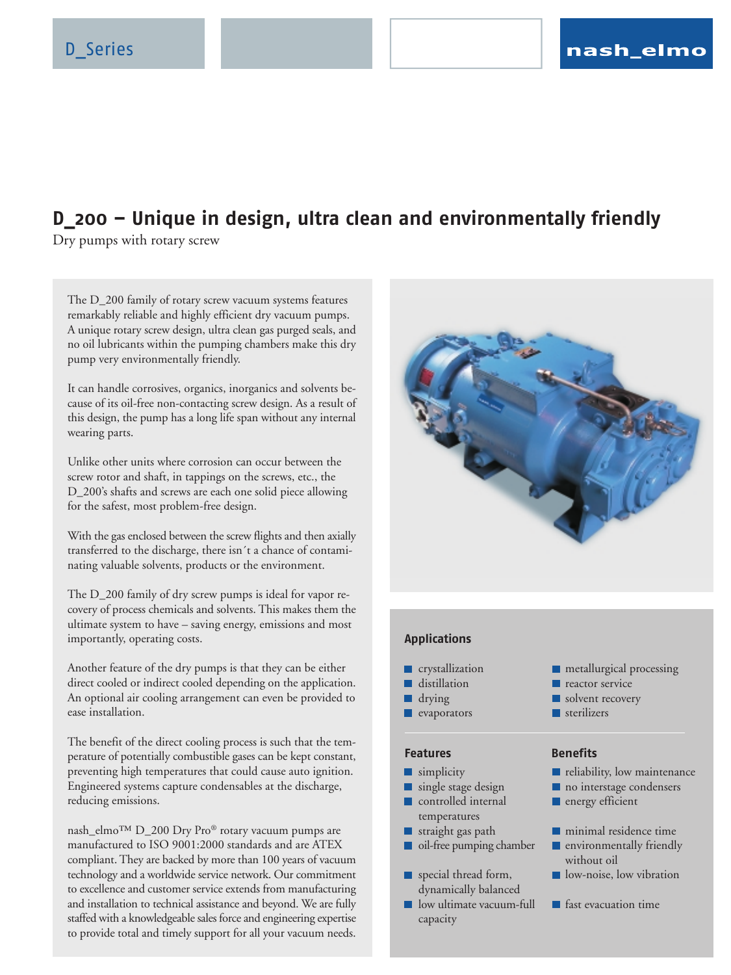# **D\_200 – Unique in design, ultra clean and environmentally friendly**

Dry pumps with rotary screw

The D\_200 family of rotary screw vacuum systems features remarkably reliable and highly efficient dry vacuum pumps. A unique rotary screw design, ultra clean gas purged seals, and no oil lubricants within the pumping chambers make this dry pump very environmentally friendly.

It can handle corrosives, organics, inorganics and solvents because of its oil-free non-contacting screw design. As a result of this design, the pump has a long life span without any internal wearing parts.

Unlike other units where corrosion can occur between the screw rotor and shaft, in tappings on the screws, etc., the D\_200's shafts and screws are each one solid piece allowing for the safest, most problem-free design.

With the gas enclosed between the screw flights and then axially transferred to the discharge, there isn´t a chance of contaminating valuable solvents, products or the environment.

The D\_200 family of dry screw pumps is ideal for vapor recovery of process chemicals and solvents. This makes them the ultimate system to have – saving energy, emissions and most importantly, operating costs.

Another feature of the dry pumps is that they can be either direct cooled or indirect cooled depending on the application. An optional air cooling arrangement can even be provided to ease installation.

The benefit of the direct cooling process is such that the temperature of potentially combustible gases can be kept constant, preventing high temperatures that could cause auto ignition. Engineered systems capture condensables at the discharge, reducing emissions.

nash\_elmo™ D\_200 Dry Pro® rotary vacuum pumps are manufactured to ISO 9001:2000 standards and are ATEX compliant. They are backed by more than 100 years of vacuum technology and a worldwide service network. Our commitment to excellence and customer service extends from manufacturing and installation to technical assistance and beyond. We are fully staffed with a knowledgeable sales force and engineering expertise to provide total and timely support for all your vacuum needs.



### **Applications**

- crystallization
- distillation
- drying
- $\blacksquare$  evaporators

## **Features**

- **Simplicity**
- single stage design ٠ controlled internal ▬ temperatures
- П straight gas path
- п oil-free pumping chamber
- special thread form, dynamically balanced
- low ultimate vacuum-full capacity
- **n** metallurgical processing
- **reactor service**
- solvent recovery
- sterilizers

### **Benefits**

- **reliability**, low maintenance
- no interstage condensers
- **n** energy efficient
- **n** minimal residence time
- **E** environmentally friendly without oil
- low-noise, low vibration
- **F** fast evacuation time